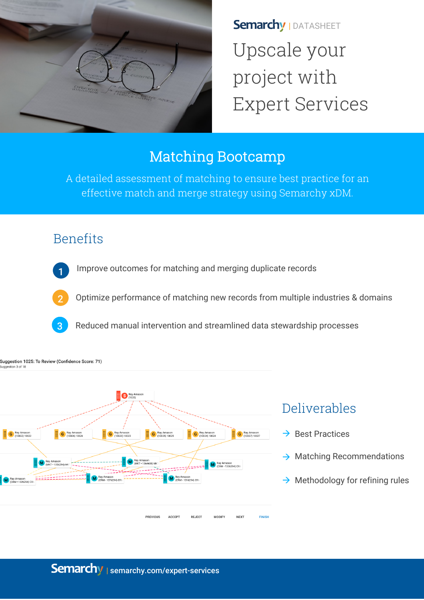

**Semarchy | DATASHEET** Upscale your project with Expert Services

## Matching Bootcamp

A detailed assessment of matching to ensure best practice for an effective match and merge strategy using Semarchy xDM.

## Benefits



Improve outcomes for matching and merging duplicate records



Suggestion 1025: To Review (Confidence Score: 71)

suggestion 3 of 1

2 Optimize performance of matching new records from multiple industries & domains

Reduced manual intervention and streamlined data stewardship processes



# Deliverables

- $\rightarrow$  Best Practices
- $\rightarrow$  Matching Recommendations
- $\rightarrow$  Methodology for refining rules